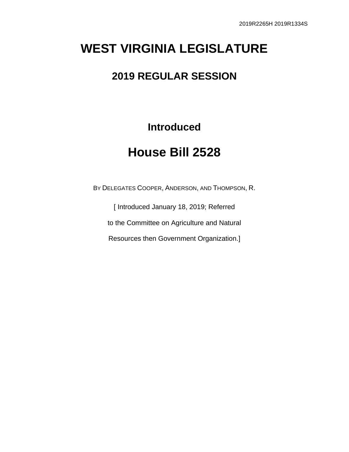# **WEST VIRGINIA LEGISLATURE**

### **2019 REGULAR SESSION**

**Introduced**

# **House Bill 2528**

BY DELEGATES COOPER, ANDERSON, AND THOMPSON, R.

[ Introduced January 18, 2019; Referred

to the Committee on Agriculture and Natural

Resources then Government Organization.]